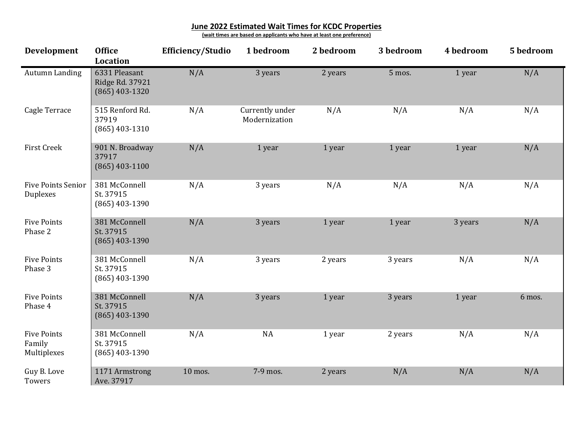## **June 2022 Estimated Wait Times for KCDC Properties**

**(wait times are based on applicants who have at least one preference)**

| Development                                 | <b>Office</b><br><b>Location</b>                     | <b>Efficiency/Studio</b> | 1 bedroom                        | 2 bedroom | 3 bedroom | 4 bedroom | 5 bedroom |
|---------------------------------------------|------------------------------------------------------|--------------------------|----------------------------------|-----------|-----------|-----------|-----------|
| Autumn Landing                              | 6331 Pleasant<br>Ridge Rd. 37921<br>$(865)$ 403-1320 | N/A                      | 3 years                          | 2 years   | 5 mos.    | 1 year    | N/A       |
| Cagle Terrace                               | 515 Renford Rd.<br>37919<br>$(865)$ 403-1310         | N/A                      | Currently under<br>Modernization | N/A       | N/A       | N/A       | N/A       |
| <b>First Creek</b>                          | 901 N. Broadway<br>37917<br>$(865)$ 403-1100         | N/A                      | 1 year                           | 1 year    | 1 year    | 1 year    | N/A       |
| <b>Five Points Senior</b><br>Duplexes       | 381 McConnell<br>St. 37915<br>$(865)$ 403-1390       | N/A                      | 3 years                          | N/A       | N/A       | N/A       | N/A       |
| <b>Five Points</b><br>Phase 2               | 381 McConnell<br>St. 37915<br>$(865)$ 403-1390       | N/A                      | 3 years                          | 1 year    | 1 year    | 3 years   | N/A       |
| <b>Five Points</b><br>Phase 3               | 381 McConnell<br>St. 37915<br>$(865)$ 403-1390       | N/A                      | 3 years                          | 2 years   | 3 years   | N/A       | N/A       |
| <b>Five Points</b><br>Phase 4               | 381 McConnell<br>St. 37915<br>$(865)$ 403-1390       | N/A                      | 3 years                          | 1 year    | 3 years   | 1 year    | 6 mos.    |
| <b>Five Points</b><br>Family<br>Multiplexes | 381 McConnell<br>St. 37915<br>$(865)$ 403-1390       | N/A                      | <b>NA</b>                        | 1 year    | 2 years   | N/A       | N/A       |
| Guy B. Love<br>Towers                       | 1171 Armstrong<br>Ave. 37917                         | 10 mos.                  | 7-9 mos.                         | 2 years   | N/A       | N/A       | N/A       |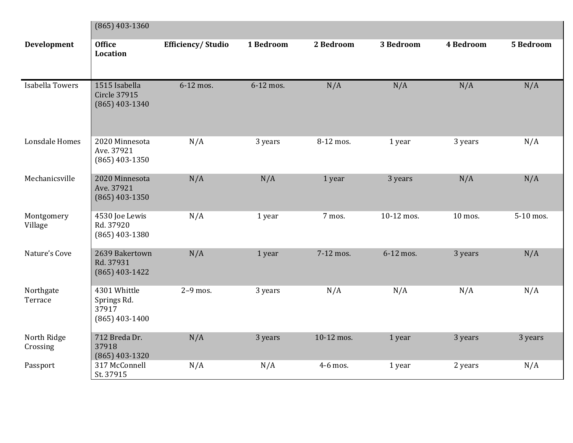|                         | $(865)$ 403-1360                                         |                          |           |            |            |                  |                  |  |
|-------------------------|----------------------------------------------------------|--------------------------|-----------|------------|------------|------------------|------------------|--|
| Development             | <b>Office</b><br>Location                                | <b>Efficiency/Studio</b> | 1 Bedroom | 2 Bedroom  | 3 Bedroom  | <b>4 Bedroom</b> | <b>5 Bedroom</b> |  |
| Isabella Towers         | 1515 Isabella<br><b>Circle 37915</b><br>$(865)$ 403-1340 | 6-12 mos.                | 6-12 mos. | N/A        | N/A        | N/A              | N/A              |  |
| Lonsdale Homes          | 2020 Minnesota<br>Ave. 37921<br>$(865)$ 403-1350         | N/A                      | 3 years   | 8-12 mos.  | 1 year     | 3 years          | N/A              |  |
| Mechanicsville          | 2020 Minnesota<br>Ave. 37921<br>$(865)$ 403-1350         | N/A                      | N/A       | 1 year     | 3 years    | N/A              | N/A              |  |
| Montgomery<br>Village   | 4530 Joe Lewis<br>Rd. 37920<br>$(865)$ 403-1380          | N/A                      | 1 year    | 7 mos.     | 10-12 mos. | 10 mos.          | 5-10 mos.        |  |
| Nature's Cove           | 2639 Bakertown<br>Rd. 37931<br>$(865)$ 403-1422          | N/A                      | 1 year    | 7-12 mos.  | 6-12 mos.  | 3 years          | N/A              |  |
| Northgate<br>Terrace    | 4301 Whittle<br>Springs Rd.<br>37917<br>$(865)$ 403-1400 | $2-9$ mos.               | 3 years   | N/A        | N/A        | N/A              | N/A              |  |
| North Ridge<br>Crossing | 712 Breda Dr.<br>37918<br>$(865)$ 403-1320               | N/A                      | 3 years   | 10-12 mos. | 1 year     | 3 years          | 3 years          |  |
| Passport                | 317 McConnell<br>St. 37915                               | N/A                      | N/A       | 4-6 mos.   | 1 year     | 2 years          | N/A              |  |